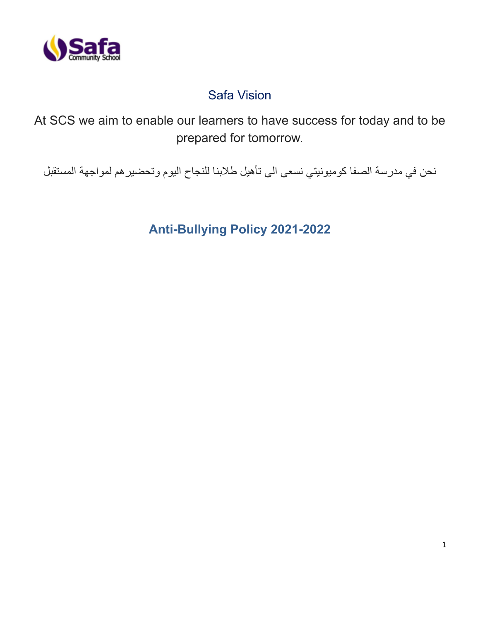

# Safa Vision

At SCS we aim to enable our learners to have success for today and to be prepared for tomorrow.

نحن في مدرسة الصفا كوميونيتي نسعى الى تأهيل طالبنا للنجاح اليوم وتحضيرهم لمواجهة المستقبل

**Anti-Bullying Policy 2021-2022**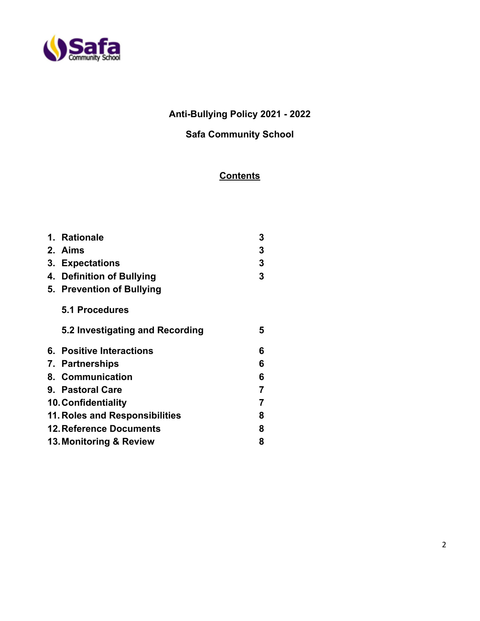

# **Anti-Bullying Policy 2021 - 2022**

# **Safa Community School**

# **Contents**

| 1. Rationale                    | 3              |
|---------------------------------|----------------|
| 2. Aims                         | 3              |
| 3. Expectations                 | 3              |
| 4. Definition of Bullying       | 3              |
| 5. Prevention of Bullying       |                |
| 5.1 Procedures                  |                |
| 5.2 Investigating and Recording | 5              |
| 6. Positive Interactions        | 6              |
| 7. Partnerships                 | 6              |
| 8. Communication                | 6              |
| 9. Pastoral Care                | $\overline{7}$ |
| <b>10. Confidentiality</b>      | 7              |
| 11. Roles and Responsibilities  | 8              |
| <b>12. Reference Documents</b>  | 8              |
| 13. Monitoring & Review         | 8              |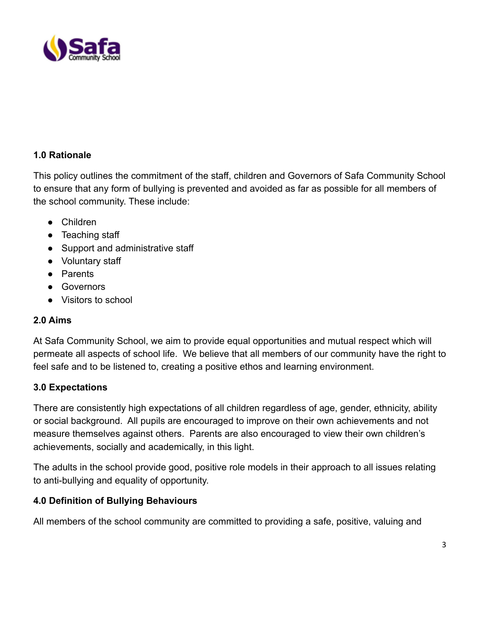

# **1.0 Rationale**

This policy outlines the commitment of the staff, children and Governors of Safa Community School to ensure that any form of bullying is prevented and avoided as far as possible for all members of the school community. These include:

- Children
- Teaching staff
- Support and administrative staff
- Voluntary staff
- Parents
- Governors
- Visitors to school

### **2.0 Aims**

At Safa Community School, we aim to provide equal opportunities and mutual respect which will permeate all aspects of school life. We believe that all members of our community have the right to feel safe and to be listened to, creating a positive ethos and learning environment.

### **3.0 Expectations**

There are consistently high expectations of all children regardless of age, gender, ethnicity, ability or social background. All pupils are encouraged to improve on their own achievements and not measure themselves against others. Parents are also encouraged to view their own children's achievements, socially and academically, in this light.

The adults in the school provide good, positive role models in their approach to all issues relating to anti-bullying and equality of opportunity.

### **4.0 Definition of Bullying Behaviours**

All members of the school community are committed to providing a safe, positive, valuing and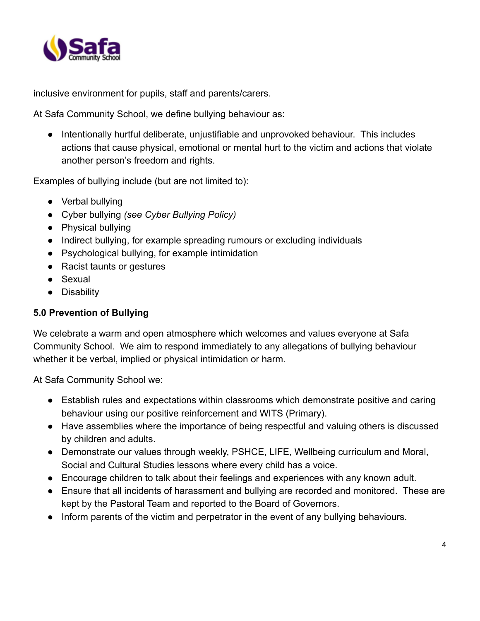

inclusive environment for pupils, staff and parents/carers.

At Safa Community School, we define bullying behaviour as:

● Intentionally hurtful deliberate, unjustifiable and unprovoked behaviour. This includes actions that cause physical, emotional or mental hurt to the victim and actions that violate another person's freedom and rights.

Examples of bullying include (but are not limited to):

- Verbal bullying
- Cyber bullying *(see Cyber Bullying Policy)*
- Physical bullying
- Indirect bullying, for example spreading rumours or excluding individuals
- Psychological bullying, for example intimidation
- Racist taunts or gestures
- Sexual
- Disability

## **5.0 Prevention of Bullying**

We celebrate a warm and open atmosphere which welcomes and values everyone at Safa Community School. We aim to respond immediately to any allegations of bullying behaviour whether it be verbal, implied or physical intimidation or harm.

At Safa Community School we:

- Establish rules and expectations within classrooms which demonstrate positive and caring behaviour using our positive reinforcement and WITS (Primary).
- Have assemblies where the importance of being respectful and valuing others is discussed by children and adults.
- Demonstrate our values through weekly, PSHCE, LIFE, Wellbeing curriculum and Moral, Social and Cultural Studies lessons where every child has a voice.
- Encourage children to talk about their feelings and experiences with any known adult.
- Ensure that all incidents of harassment and bullying are recorded and monitored. These are kept by the Pastoral Team and reported to the Board of Governors.
- Inform parents of the victim and perpetrator in the event of any bullying behaviours.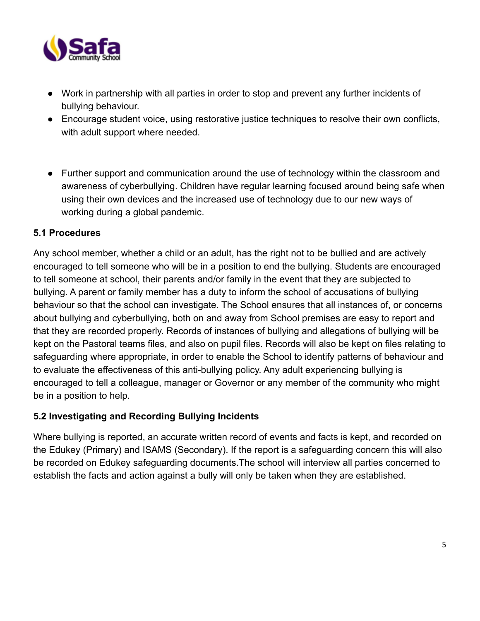

- Work in partnership with all parties in order to stop and prevent any further incidents of bullying behaviour.
- Encourage student voice, using restorative justice techniques to resolve their own conflicts, with adult support where needed.
- Further support and communication around the use of technology within the classroom and awareness of cyberbullying. Children have regular learning focused around being safe when using their own devices and the increased use of technology due to our new ways of working during a global pandemic.

### **5.1 Procedures**

Any school member, whether a child or an adult, has the right not to be bullied and are actively encouraged to tell someone who will be in a position to end the bullying. Students are encouraged to tell someone at school, their parents and/or family in the event that they are subjected to bullying. A parent or family member has a duty to inform the school of accusations of bullying behaviour so that the school can investigate. The School ensures that all instances of, or concerns about bullying and cyberbullying, both on and away from School premises are easy to report and that they are recorded properly. Records of instances of bullying and allegations of bullying will be kept on the Pastoral teams files, and also on pupil files. Records will also be kept on files relating to safeguarding where appropriate, in order to enable the School to identify patterns of behaviour and to evaluate the effectiveness of this anti-bullying policy. Any adult experiencing bullying is encouraged to tell a colleague, manager or Governor or any member of the community who might be in a position to help.

# **5.2 Investigating and Recording Bullying Incidents**

Where bullying is reported, an accurate written record of events and facts is kept, and recorded on the Edukey (Primary) and ISAMS (Secondary). If the report is a safeguarding concern this will also be recorded on Edukey safeguarding documents.The school will interview all parties concerned to establish the facts and action against a bully will only be taken when they are established.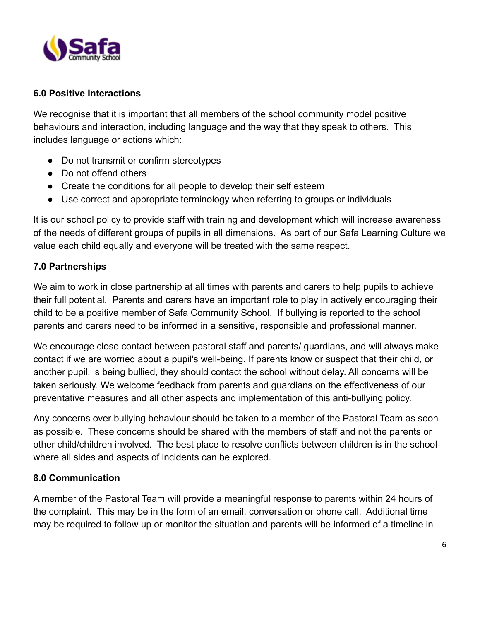

## **6.0 Positive Interactions**

We recognise that it is important that all members of the school community model positive behaviours and interaction, including language and the way that they speak to others. This includes language or actions which:

- Do not transmit or confirm stereotypes
- Do not offend others
- Create the conditions for all people to develop their self esteem
- Use correct and appropriate terminology when referring to groups or individuals

It is our school policy to provide staff with training and development which will increase awareness of the needs of different groups of pupils in all dimensions. As part of our Safa Learning Culture we value each child equally and everyone will be treated with the same respect.

### **7.0 Partnerships**

We aim to work in close partnership at all times with parents and carers to help pupils to achieve their full potential. Parents and carers have an important role to play in actively encouraging their child to be a positive member of Safa Community School. If bullying is reported to the school parents and carers need to be informed in a sensitive, responsible and professional manner.

We encourage close contact between pastoral staff and parents/ quardians, and will always make contact if we are worried about a pupil's well-being. If parents know or suspect that their child, or another pupil, is being bullied, they should contact the school without delay. All concerns will be taken seriously. We welcome feedback from parents and guardians on the effectiveness of our preventative measures and all other aspects and implementation of this anti-bullying policy.

Any concerns over bullying behaviour should be taken to a member of the Pastoral Team as soon as possible. These concerns should be shared with the members of staff and not the parents or other child/children involved. The best place to resolve conflicts between children is in the school where all sides and aspects of incidents can be explored.

### **8.0 Communication**

A member of the Pastoral Team will provide a meaningful response to parents within 24 hours of the complaint. This may be in the form of an email, conversation or phone call. Additional time may be required to follow up or monitor the situation and parents will be informed of a timeline in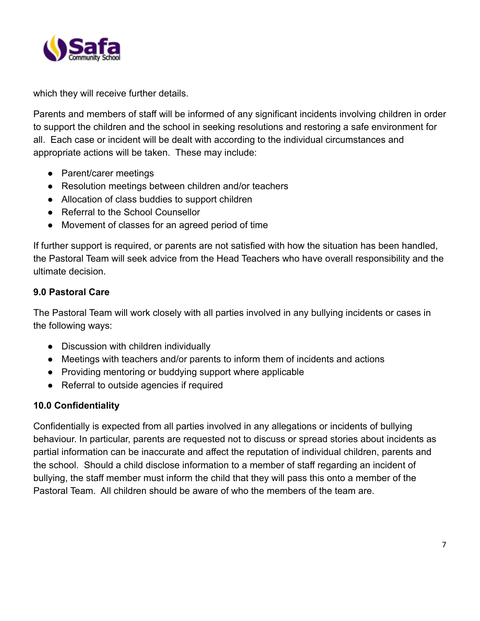

which they will receive further details.

Parents and members of staff will be informed of any significant incidents involving children in order to support the children and the school in seeking resolutions and restoring a safe environment for all. Each case or incident will be dealt with according to the individual circumstances and appropriate actions will be taken. These may include:

- Parent/carer meetings
- Resolution meetings between children and/or teachers
- Allocation of class buddies to support children
- Referral to the School Counsellor
- Movement of classes for an agreed period of time

If further support is required, or parents are not satisfied with how the situation has been handled, the Pastoral Team will seek advice from the Head Teachers who have overall responsibility and the ultimate decision.

# **9.0 Pastoral Care**

The Pastoral Team will work closely with all parties involved in any bullying incidents or cases in the following ways:

- Discussion with children individually
- Meetings with teachers and/or parents to inform them of incidents and actions
- Providing mentoring or buddying support where applicable
- Referral to outside agencies if required

# **10.0 Confidentiality**

Confidentially is expected from all parties involved in any allegations or incidents of bullying behaviour. In particular, parents are requested not to discuss or spread stories about incidents as partial information can be inaccurate and affect the reputation of individual children, parents and the school. Should a child disclose information to a member of staff regarding an incident of bullying, the staff member must inform the child that they will pass this onto a member of the Pastoral Team. All children should be aware of who the members of the team are.